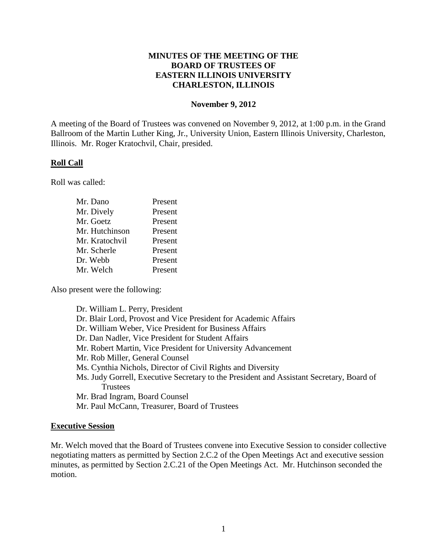# **MINUTES OF THE MEETING OF THE BOARD OF TRUSTEES OF EASTERN ILLINOIS UNIVERSITY CHARLESTON, ILLINOIS**

### **November 9, 2012**

A meeting of the Board of Trustees was convened on November 9, 2012, at 1:00 p.m. in the Grand Ballroom of the Martin Luther King, Jr., University Union, Eastern Illinois University, Charleston, Illinois. Mr. Roger Kratochvil, Chair, presided.

# **Roll Call**

Roll was called:

| Mr. Dano       | Present |
|----------------|---------|
| Mr. Dively     | Present |
| Mr. Goetz      | Present |
| Mr. Hutchinson | Present |
| Mr. Kratochvil | Present |
| Mr. Scherle    | Present |
| Dr. Webb       | Present |
| Mr. Welch      | Present |

Also present were the following:

Dr. William L. Perry, President Dr. Blair Lord, Provost and Vice President for Academic Affairs Dr. William Weber, Vice President for Business Affairs Dr. Dan Nadler, Vice President for Student Affairs Mr. Robert Martin, Vice President for University Advancement Mr. Rob Miller, General Counsel Ms. Cynthia Nichols, Director of Civil Rights and Diversity Ms. Judy Gorrell, Executive Secretary to the President and Assistant Secretary, Board of **Trustees** Mr. Brad Ingram, Board Counsel Mr. Paul McCann, Treasurer, Board of Trustees

# **Executive Session**

Mr. Welch moved that the Board of Trustees convene into Executive Session to consider collective negotiating matters as permitted by Section 2.C.2 of the Open Meetings Act and executive session minutes, as permitted by Section 2.C.21 of the Open Meetings Act. Mr. Hutchinson seconded the motion.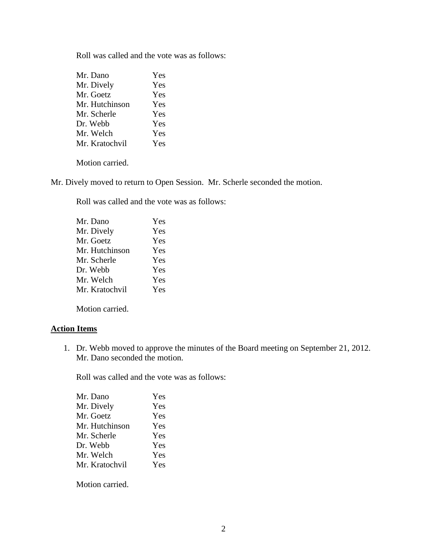Roll was called and the vote was as follows:

| Mr. Dano       | Yes |
|----------------|-----|
| Mr. Dively     | Yes |
| Mr. Goetz      | Yes |
| Mr. Hutchinson | Yes |
| Mr. Scherle    | Yes |
| Dr. Webb       | Yes |
| Mr. Welch      | Yes |
| Mr. Kratochvil | Yes |
|                |     |

Motion carried.

Mr. Dively moved to return to Open Session. Mr. Scherle seconded the motion.

Roll was called and the vote was as follows:

| Mr. Dano       | Yes |
|----------------|-----|
| Mr. Dively     | Yes |
| Mr. Goetz      | Yes |
| Mr. Hutchinson | Yes |
| Mr. Scherle    | Yes |
| Dr. Webb       | Yes |
| Mr. Welch      | Yes |
| Mr. Kratochvil | Yes |
|                |     |

Motion carried.

# **Action Items**

1. Dr. Webb moved to approve the minutes of the Board meeting on September 21, 2012. Mr. Dano seconded the motion.

Roll was called and the vote was as follows:

| Mr. Dano       | Yes |
|----------------|-----|
| Mr. Dively     | Yes |
| Mr. Goetz      | Yes |
| Mr. Hutchinson | Yes |
| Mr. Scherle    | Yes |
| Dr. Webb       | Yes |
| Mr. Welch      | Yes |
| Mr. Kratochvil | Yes |
|                |     |

Motion carried.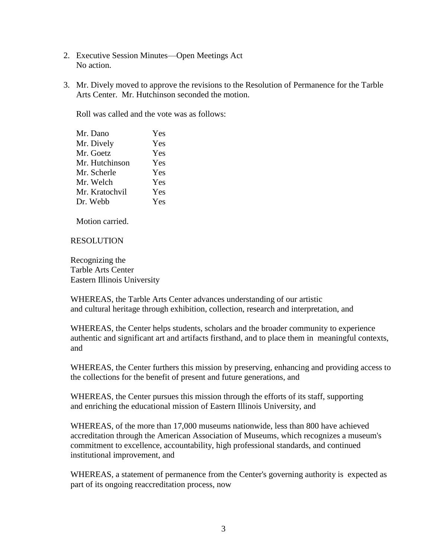- 2. Executive Session Minutes—Open Meetings Act No action.
- 3. Mr. Dively moved to approve the revisions to the Resolution of Permanence for the Tarble Arts Center. Mr. Hutchinson seconded the motion.

Roll was called and the vote was as follows:

| Mr. Dano       | Yes |
|----------------|-----|
| Mr. Dively     | Yes |
| Mr. Goetz      | Yes |
| Mr. Hutchinson | Yes |
| Mr. Scherle    | Yes |
| Mr. Welch      | Yes |
| Mr. Kratochvil | Yes |
| Dr. Webb       | Yes |
|                |     |

Motion carried.

RESOLUTION

Recognizing the Tarble Arts Center Eastern Illinois University

WHEREAS, the Tarble Arts Center advances understanding of our artistic and cultural heritage through exhibition, collection, research and interpretation, and

WHEREAS, the Center helps students, scholars and the broader community to experience authentic and significant art and artifacts firsthand, and to place them in meaningful contexts, and

WHEREAS, the Center furthers this mission by preserving, enhancing and providing access to the collections for the benefit of present and future generations, and

WHEREAS, the Center pursues this mission through the efforts of its staff, supporting and enriching the educational mission of Eastern Illinois University, and

WHEREAS, of the more than 17,000 museums nationwide, less than 800 have achieved accreditation through the American Association of Museums, which recognizes a museum's commitment to excellence, accountability, high professional standards, and continued institutional improvement, and

WHEREAS, a statement of permanence from the Center's governing authority is expected as part of its ongoing reaccreditation process, now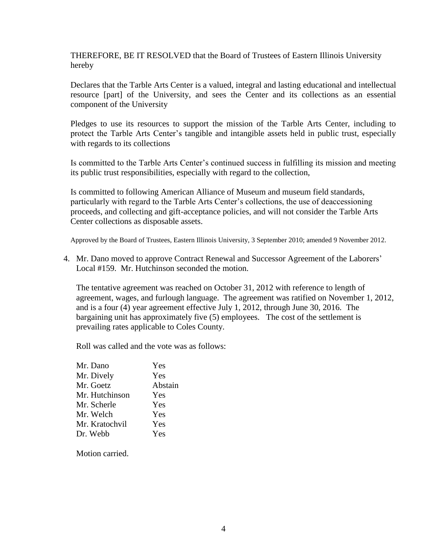THEREFORE, BE IT RESOLVED that the Board of Trustees of Eastern Illinois University hereby

Declares that the Tarble Arts Center is a valued, integral and lasting educational and intellectual resource [part] of the University, and sees the Center and its collections as an essential component of the University

Pledges to use its resources to support the mission of the Tarble Arts Center, including to protect the Tarble Arts Center's tangible and intangible assets held in public trust, especially with regards to its collections

Is committed to the Tarble Arts Center's continued success in fulfilling its mission and meeting its public trust responsibilities, especially with regard to the collection,

Is committed to following American Alliance of Museum and museum field standards, particularly with regard to the Tarble Arts Center's collections, the use of deaccessioning proceeds, and collecting and gift-acceptance policies, and will not consider the Tarble Arts Center collections as disposable assets.

Approved by the Board of Trustees, Eastern Illinois University, 3 September 2010; amended 9 November 2012.

4. Mr. Dano moved to approve Contract Renewal and Successor Agreement of the Laborers' Local #159. Mr. Hutchinson seconded the motion.

The tentative agreement was reached on October 31, 2012 with reference to length of agreement, wages, and furlough language. The agreement was ratified on November 1, 2012, and is a four (4) year agreement effective July 1, 2012, through June 30, 2016. The bargaining unit has approximately five (5) employees. The cost of the settlement is prevailing rates applicable to Coles County.

Roll was called and the vote was as follows:

| Yes     |
|---------|
| Yes     |
| Abstain |
| Yes     |
| Yes     |
| Yes     |
| Yes     |
| Yes     |
|         |

Motion carried.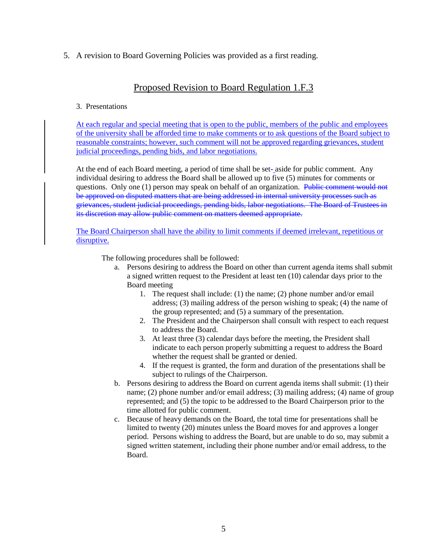5. A revision to Board Governing Policies was provided as a first reading.

# Proposed Revision to Board Regulation 1.F.3

### 3. Presentations

At each regular and special meeting that is open to the public, members of the public and employees of the university shall be afforded time to make comments or to ask questions of the Board subject to reasonable constraints; however, such comment will not be approved regarding grievances, student judicial proceedings, pending bids, and labor negotiations.

At the end of each Board meeting, a period of time shall be set- aside for public comment. Any individual desiring to address the Board shall be allowed up to five (5) minutes for comments or questions. Only one (1) person may speak on behalf of an organization. Public comment would not be approved on disputed matters that are being addressed in internal university processes such as grievances, student judicial proceedings, pending bids, labor negotiations. The Board of Trustees in its discretion may allow public comment on matters deemed appropriate.

The Board Chairperson shall have the ability to limit comments if deemed irrelevant, repetitious or disruptive.

The following procedures shall be followed:

- a. Persons desiring to address the Board on other than current agenda items shall submit a signed written request to the President at least ten (10) calendar days prior to the Board meeting
	- 1. The request shall include: (1) the name; (2) phone number and/or email address; (3) mailing address of the person wishing to speak; (4) the name of the group represented; and (5) a summary of the presentation.
	- 2. The President and the Chairperson shall consult with respect to each request to address the Board.
	- 3. At least three (3) calendar days before the meeting, the President shall indicate to each person properly submitting a request to address the Board whether the request shall be granted or denied.
	- 4. If the request is granted, the form and duration of the presentations shall be subject to rulings of the Chairperson.
- b. Persons desiring to address the Board on current agenda items shall submit: (1) their name; (2) phone number and/or email address; (3) mailing address; (4) name of group represented; and (5) the topic to be addressed to the Board Chairperson prior to the time allotted for public comment.
- c. Because of heavy demands on the Board, the total time for presentations shall be limited to twenty (20) minutes unless the Board moves for and approves a longer period. Persons wishing to address the Board, but are unable to do so, may submit a signed written statement, including their phone number and/or email address, to the Board.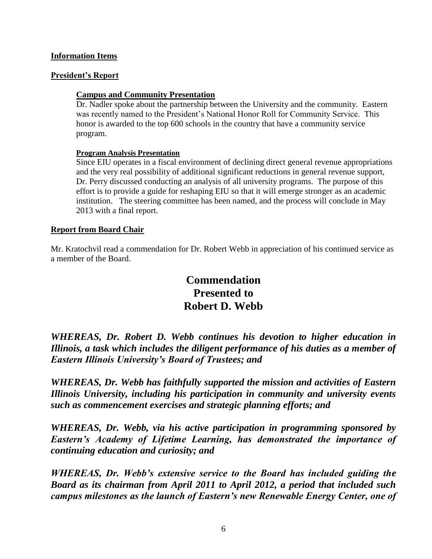# **Information Items**

# **President's Report**

# **Campus and Community Presentation**

Dr. Nadler spoke about the partnership between the University and the community. Eastern was recently named to the President's National Honor Roll for Community Service. This honor is awarded to the top 600 schools in the country that have a community service program.

# **Program Analysis Presentation**

Since EIU operates in a fiscal environment of declining direct general revenue appropriations and the very real possibility of additional significant reductions in general revenue support, Dr. Perry discussed conducting an analysis of all university programs. The purpose of this effort is to provide a guide for reshaping EIU so that it will emerge stronger as an academic institution. The steering committee has been named, and the process will conclude in May 2013 with a final report.

# **Report from Board Chair**

Mr. Kratochvil read a commendation for Dr. Robert Webb in appreciation of his continued service as a member of the Board.

# **Commendation Presented to Robert D. Webb**

*WHEREAS, Dr. Robert D. Webb continues his devotion to higher education in Illinois, a task which includes the diligent performance of his duties as a member of Eastern Illinois University's Board of Trustees; and*

*WHEREAS, Dr. Webb has faithfully supported the mission and activities of Eastern Illinois University, including his participation in community and university events such as commencement exercises and strategic planning efforts; and*

*WHEREAS, Dr. Webb, via his active participation in programming sponsored by Eastern's Academy of Lifetime Learning, has demonstrated the importance of continuing education and curiosity; and* 

*WHEREAS, Dr. Webb's extensive service to the Board has included guiding the Board as its chairman from April 2011 to April 2012, a period that included such campus milestones as the launch of Eastern's new Renewable Energy Center, one of*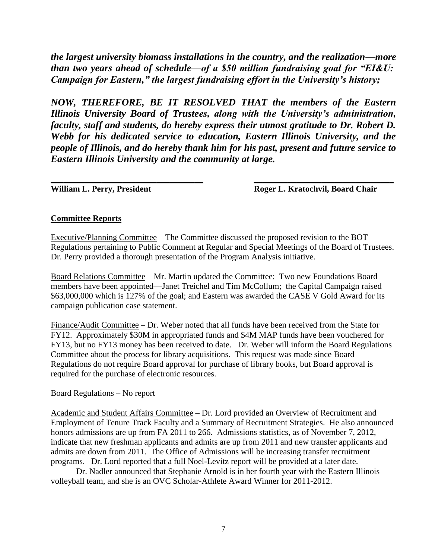*the largest university biomass installations in the country, and the realization—more than two years ahead of schedule—of a \$50 million fundraising goal for "EI&U: Campaign for Eastern," the largest fundraising effort in the University's history;* 

*NOW, THEREFORE, BE IT RESOLVED THAT the members of the Eastern Illinois University Board of Trustees, along with the University's administration, faculty, staff and students, do hereby express their utmost gratitude to Dr. Robert D. Webb for his dedicated service to education, Eastern Illinois University, and the people of Illinois, and do hereby thank him for his past, present and future service to Eastern Illinois University and the community at large.*

\_\_\_\_\_\_\_\_\_\_\_\_\_\_\_\_\_\_\_\_\_\_\_\_\_\_\_\_\_\_\_\_\_\_\_\_ \_\_\_\_\_\_\_\_\_\_\_\_\_\_\_\_\_\_\_\_\_\_\_\_\_\_\_\_\_\_\_\_\_

William L. Perry, President **Roger L. Kratochvil, Board Chair** 

# **Committee Reports**

Executive/Planning Committee – The Committee discussed the proposed revision to the BOT Regulations pertaining to Public Comment at Regular and Special Meetings of the Board of Trustees. Dr. Perry provided a thorough presentation of the Program Analysis initiative.

Board Relations Committee – Mr. Martin updated the Committee: Two new Foundations Board members have been appointed—Janet Treichel and Tim McCollum; the Capital Campaign raised \$63,000,000 which is 127% of the goal; and Eastern was awarded the CASE V Gold Award for its campaign publication case statement.

Finance/Audit Committee – Dr. Weber noted that all funds have been received from the State for FY12. Approximately \$30M in appropriated funds and \$4M MAP funds have been vouchered for FY13, but no FY13 money has been received to date. Dr. Weber will inform the Board Regulations Committee about the process for library acquisitions. This request was made since Board Regulations do not require Board approval for purchase of library books, but Board approval is required for the purchase of electronic resources.

# Board Regulations – No report

Academic and Student Affairs Committee – Dr. Lord provided an Overview of Recruitment and Employment of Tenure Track Faculty and a Summary of Recruitment Strategies. He also announced honors admissions are up from FA 2011 to 266. Admissions statistics, as of November 7, 2012, indicate that new freshman applicants and admits are up from 2011 and new transfer applicants and admits are down from 2011. The Office of Admissions will be increasing transfer recruitment programs. Dr. Lord reported that a full Noel-Levitz report will be provided at a later date.

Dr. Nadler announced that Stephanie Arnold is in her fourth year with the Eastern Illinois volleyball team, and she is an OVC Scholar-Athlete Award Winner for 2011-2012.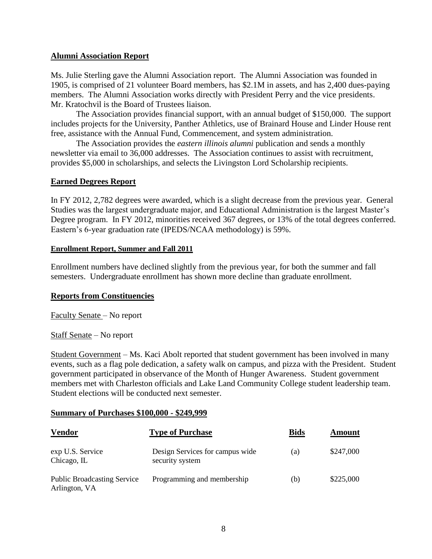# **Alumni Association Report**

Ms. Julie Sterling gave the Alumni Association report. The Alumni Association was founded in 1905, is comprised of 21 volunteer Board members, has \$2.1M in assets, and has 2,400 dues-paying members. The Alumni Association works directly with President Perry and the vice presidents. Mr. Kratochvil is the Board of Trustees liaison.

The Association provides financial support, with an annual budget of \$150,000. The support includes projects for the University, Panther Athletics, use of Brainard House and Linder House rent free, assistance with the Annual Fund, Commencement, and system administration.

The Association provides the *eastern illinois alumni* publication and sends a monthly newsletter via email to 36,000 addresses. The Association continues to assist with recruitment, provides \$5,000 in scholarships, and selects the Livingston Lord Scholarship recipients.

### **Earned Degrees Report**

In FY 2012, 2,782 degrees were awarded, which is a slight decrease from the previous year. General Studies was the largest undergraduate major, and Educational Administration is the largest Master's Degree program. In FY 2012, minorities received 367 degrees, or 13% of the total degrees conferred. Eastern's 6-year graduation rate (IPEDS/NCAA methodology) is 59%.

### **Enrollment Report, Summer and Fall 2011**

Enrollment numbers have declined slightly from the previous year, for both the summer and fall semesters. Undergraduate enrollment has shown more decline than graduate enrollment.

### **Reports from Constituencies**

Faculty Senate – No report

Staff Senate – No report

Student Government – Ms. Kaci Abolt reported that student government has been involved in many events, such as a flag pole dedication, a safety walk on campus, and pizza with the President. Student government participated in observance of the Month of Hunger Awareness. Student government members met with Charleston officials and Lake Land Community College student leadership team. Student elections will be conducted next semester.

### **Summary of Purchases \$100,000 - \$249,999**

| <b>Vendor</b>                                       | <b>Type of Purchase</b>                            | <b>Bids</b> | Amount    |
|-----------------------------------------------------|----------------------------------------------------|-------------|-----------|
| exp U.S. Service<br>Chicago, $IL$                   | Design Services for campus wide<br>security system | (a)         | \$247,000 |
| <b>Public Broadcasting Service</b><br>Arlington, VA | Programming and membership                         | (b)         | \$225,000 |